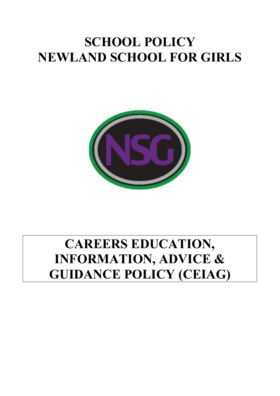# **SCHOOL POLICY NEWLAND SCHOOL FOR GIRLS**



# **CAREERS EDUCATION, INFORMATION, ADVICE & GUIDANCE POLICY (CEIAG)**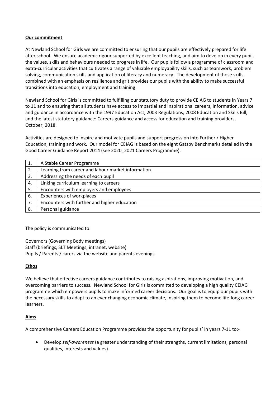## **Our commitment**

At Newland School for Girls we are committed to ensuring that our pupils are effectively prepared for life after school. We ensure academic rigour supported by excellent teaching, and aim to develop in every pupil, the values, skills and behaviours needed to progress in life. Our pupils follow a programme of classroom and extra-curricular activities that cultivates a range of valuable employability skills, such as teamwork, problem solving, communication skills and application of literacy and numeracy. The development of those skills combined with an emphasis on resilience and grit provides our pupils with the ability to make successful transitions into education, employment and training.

Newland School for Girls is committed to fulfilling our statutory duty to provide CEIAG to students in Years 7 to 11 and to ensuring that all students have access to impartial and inspirational careers, information, advice and guidance in accordance with the 1997 Education Act, 2003 Regulations, 2008 Education and Skills Bill, and the latest statutory guidance: Careers guidance and access for education and training providers, October, 2018.

Activities are designed to inspire and motivate pupils and support progression into Further / Higher Education, training and work. Our model for CEIAG is based on the eight Gatsby Benchmarks detailed in the Good Career Guidance Report 2014 (see 2020\_2021 Careers Programme).

|    | A Stable Career Programme                          |
|----|----------------------------------------------------|
| 2. | Learning from career and labour market information |
| 3. | Addressing the needs of each pupil                 |
| 4. | Linking curriculum learning to careers             |
| 5. | Encounters with employers and employees            |
| 6. | <b>Experiences of workplaces</b>                   |
| 7. | Encounters with further and higher education       |
| 8. | Personal guidance                                  |

The policy is communicated to:

Governors (Governing Body meetings) Staff (briefings, SLT Meetings, intranet, website) Pupils / Parents / carers via the website and parents evenings.

# **Ethos**

We believe that effective careers guidance contributes to raising aspirations, improving motivation, and overcoming barriers to success. Newland School for Girls is committed to developing a high quality CEIAG programme which empowers pupils to make informed career decisions. Our goal is to equip our pupils with the necessary skills to adapt to an ever changing economic climate, inspiring them to become life-long career learners.

# **Aims**

A comprehensive Careers Education Programme provides the opportunity for pupils' in years 7-11 to:-

• Develop *self-awareness* (a greater understanding of their strengths, current limitations, personal qualities, interests and values).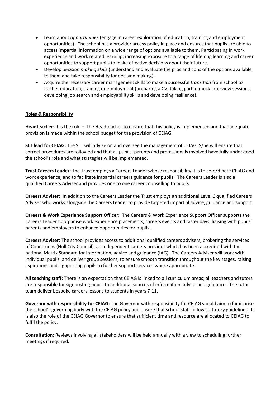- Learn about *opportunities* (engage in career exploration of education, training and employment opportunities). The school has a provider access policy in place and ensures that pupils are able to access impartial information on a wide range of options available to them. Participating in work experience and work related learning; increasing exposure to a range of lifelong learning and career opportunities to support pupils to make effective decisions about their future.
- Develop *decision making skills* (understand and evaluate the pros and cons of the options available to them and take responsibility for decision making).
- Acquire the necessary career management skills to make a successful *transition* from school to further education, training or employment (preparing a CV, taking part in mock interview sessions, developing job search and employability skills and developing resilience).

## **Roles & Responsibility**

**Headteacher:** It is the role of the Headteacher to ensure that this policy is implemented and that adequate provision is made within the school budget for the provision of CEIAG.

**SLT lead for CEIAG:** The SLT will advise on and oversee the management of CEIAG. S/he will ensure that correct procedures are followed and that all pupils, parents and professionals involved have fully understood the school's role and what strategies will be implemented.

**Trust Careers Leader:** The Trust employs a Careers Leader whose responsibility it is to co-ordinate CEIAG and work experience, and to facilitate impartial careers guidance for pupils. The Careers Leader is also a qualified Careers Adviser and provides one to one career counselling to pupils.

**Careers Adviser:** In addition to the Careers Leader the Trust employs an additional Level 6 qualified Careers Adviser who works alongside the Careers Leader to provide targeted impartial advice, guidance and support.

**Careers & Work Experience Support Officer:** The Careers & Work Experience Support Officer supports the Careers Leader to organise work experience placements, careers events and taster days, liaising with pupils' parents and employers to enhance opportunities for pupils.

**Careers Adviser:** The school provides access to additional qualified careers advisers, brokering the services of Connexions (Hull City Council), an independent careers provider which has been accredited with the national Matrix Standard for information, advice and guidance (IAG). The Careers Adviser will work with individual pupils, and deliver group sessions, to ensure smooth transition throughout the key stages, raising aspirations and signposting pupils to further support services where appropriate.

**All teaching staff:** There is an expectation that CEIAG is linked to all curriculum areas; all teachers and tutors are responsible for signposting pupils to additional sources of information, advice and guidance. The tutor team deliver bespoke careers lessons to students in years 7-11.

**Governor with responsibility for CEIAG:** The Governor with responsibility for CEIAG should aim to familiarise the school's governing body with the CEIAG policy and ensure that school staff follow statutory guidelines. It is also the role of the CEIAG Governor to ensure that sufficient time and resource are allocated to CEIAG to fulfil the policy.

**Consultation:** Reviews involving all stakeholders will be held annually with a view to scheduling further meetings if required.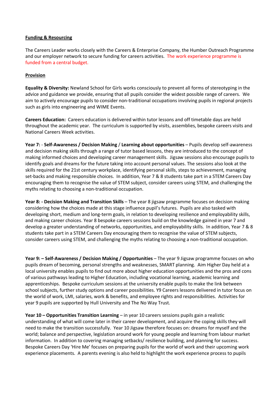#### **Funding & Resourcing**

The Careers Leader works closely with the Careers & Enterprise Company, the Humber Outreach Programme and our employer network to secure funding for careers activities. The work experience programme is funded from a central budget.

## **Provision**

**Equality & Diversity:** Newland School for Girls works consciously to prevent all forms of stereotyping in the advice and guidance we provide, ensuring that all pupils consider the widest possible range of careers. We aim to actively encourage pupils to consider non-traditional occupations involving pupils in regional projects such as girls into engineering and WIME Events.

**Careers Education:** Careers education is delivered within tutor lessons and off timetable days are held throughout the academic year. The curriculum is supported by visits, assemblies, bespoke careers visits and National Careers Week activities.

**Year 7:** - **Self-Awareness / Decision Making** / **Learning about opportunities** – Pupils develop self-awareness and decision making skills through a range of tutor based lessons, they are introduced to the concept of making informed choices and developing career management skills. Jigsaw sessions also encourage pupils to identify goals and dreams for the future taking into account personal values. The sessions also look at the skills required for the 21st century workplace, identifying personal skills, steps to achievement, managing set-backs and making responsible choices. In addition, Year 7 & 8 students take part in a STEM Careers Day encouraging them to recognise the value of STEM subject, consider careers using STEM, and challenging the myths relating to choosing a non-traditional occupation.

**Year 8: - Decision Making and Transition Skills** – The year 8 jigsaw programme focuses on decision making considering how the choices made at this stage influence pupil's futures. Pupils are also tasked with developing short, medium and long-term goals, in relation to developing resilience and employability skills, and making career choices. Year 8 bespoke careers sessions build on the knowledge gained in year 7 and develop a greater understanding of networks, opportunities, and employability skills. In addition, Year 7 & 8 students take part in a STEM Careers Day encouraging them to recognise the value of STEM subjects, consider careers using STEM, and challenging the myths relating to choosing a non-traditional occupation.

**Year 9: – Self-Awareness / Decision Making / Opportunities** – The year 9 Jigsaw programme focuses on who pupils dream of becoming, personal strengths and weaknesses, SMART planning. Aim Higher Day held at a local university enables pupils to find out more about higher education opportunities and the pros and cons of various pathways leading to Higher Education, including vocational learning, academic learning and apprenticeships. Bespoke curriculum sessions at the university enable pupils to make the link between school subjects, further study options and career possibilities. Y9 Careers lessons delivered in tutor focus on the world of work, LMI, salaries, work & benefits, and employee rights and responsibilities. Activities for year 9 pupils are supported by Hull University and The No Way Trust.

**Year 10 – Opportunities Transition Learning** – in year 10 careers sessions pupils gain a realistic understanding of what will come later in their career development, and acquire the coping skills they will need to make the transition successfully. Year 10 Jigsaw therefore focuses on: dreams for myself and the world; balance and perspective, legislation around work for young people and learning from labour market information. In addition to covering managing setbacks/ resilience building, and planning for success. Bespoke Careers Day 'Hire Me' focuses on preparing pupils for the world of work and their upcoming work experience placements. A parents evening is also held to highlight the work experience process to pupils